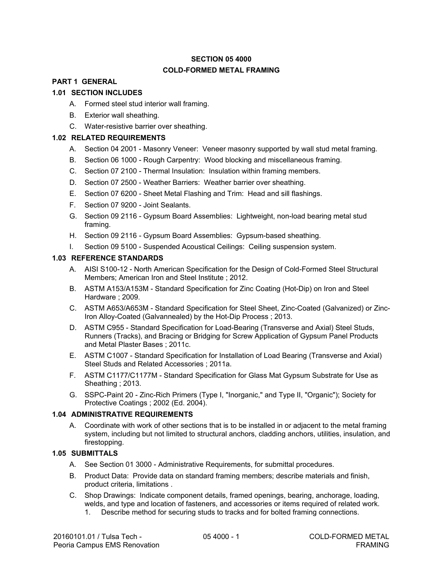# **SECTION 05 4000 COLD-FORMED METAL FRAMING**

# **PART 1 GENERAL**

## **1.01 SECTION INCLUDES**

- A. Formed steel stud interior wall framing.
- B. Exterior wall sheathing.
- C. Water-resistive barrier over sheathing.

# **1.02 RELATED REQUIREMENTS**

- A. Section 04 2001 Masonry Veneer: Veneer masonry supported by wall stud metal framing.
- B. Section 06 1000 Rough Carpentry: Wood blocking and miscellaneous framing.
- C. Section 07 2100 Thermal Insulation: Insulation within framing members.
- D. Section 07 2500 Weather Barriers: Weather barrier over sheathing.
- E. Section 07 6200 Sheet Metal Flashing and Trim: Head and sill flashings.
- F. Section 07 9200 Joint Sealants.
- G. Section 09 2116 Gypsum Board Assemblies: Lightweight, non-load bearing metal stud framing.
- H. Section 09 2116 Gypsum Board Assemblies: Gypsum-based sheathing.
- I. Section 09 5100 Suspended Acoustical Ceilings: Ceiling suspension system.

## **1.03 REFERENCE STANDARDS**

- A. AISI S100-12 North American Specification for the Design of Cold-Formed Steel Structural Members; American Iron and Steel Institute ; 2012.
- B. ASTM A153/A153M Standard Specification for Zinc Coating (Hot-Dip) on Iron and Steel Hardware ; 2009.
- C. ASTM A653/A653M Standard Specification for Steel Sheet, Zinc-Coated (Galvanized) or Zinc-Iron Alloy-Coated (Galvannealed) by the Hot-Dip Process ; 2013.
- D. ASTM C955 Standard Specification for Load-Bearing (Transverse and Axial) Steel Studs, Runners (Tracks), and Bracing or Bridging for Screw Application of Gypsum Panel Products and Metal Plaster Bases ; 2011c.
- E. ASTM C1007 Standard Specification for Installation of Load Bearing (Transverse and Axial) Steel Studs and Related Accessories ; 2011a.
- F. ASTM C1177/C1177M Standard Specification for Glass Mat Gypsum Substrate for Use as Sheathing ; 2013.
- G. SSPC-Paint 20 Zinc-Rich Primers (Type I, "Inorganic," and Type II, "Organic"); Society for Protective Coatings ; 2002 (Ed. 2004).

## **1.04 ADMINISTRATIVE REQUIREMENTS**

A. Coordinate with work of other sections that is to be installed in or adjacent to the metal framing system, including but not limited to structural anchors, cladding anchors, utilities, insulation, and firestopping.

## **1.05 SUBMITTALS**

- A. See Section 01 3000 Administrative Requirements, for submittal procedures.
- B. Product Data: Provide data on standard framing members; describe materials and finish, product criteria, limitations .
- C. Shop Drawings: Indicate component details, framed openings, bearing, anchorage, loading, welds, and type and location of fasteners, and accessories or items required of related work.
	- 1. Describe method for securing studs to tracks and for bolted framing connections.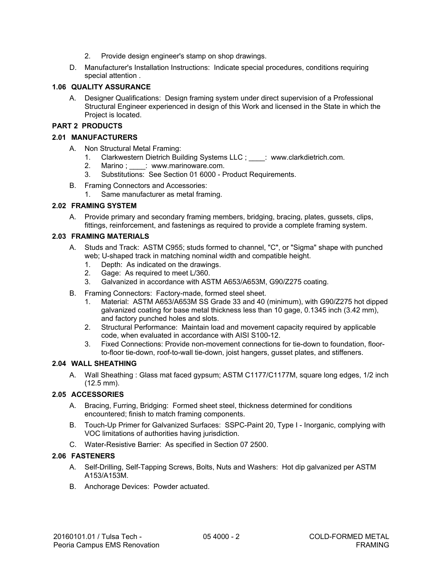- 2. Provide design engineer's stamp on shop drawings.
- D. Manufacturer's Installation Instructions: Indicate special procedures, conditions requiring special attention .

## **1.06 QUALITY ASSURANCE**

A. Designer Qualifications: Design framing system under direct supervision of a Professional Structural Engineer experienced in design of this Work and licensed in the State in which the Project is located.

#### **PART 2 PRODUCTS**

#### **2.01 MANUFACTURERS**

- A. Non Structural Metal Framing:
	- 1. Clarkwestern Dietrich Building Systems LLC ; www.clarkdietrich.com.
	- 2. Marino ; \_\_\_\_: www.marinoware.com.
	- 3. Substitutions: See Section 01 6000 Product Requirements.
- B. Framing Connectors and Accessories:
	- 1. Same manufacturer as metal framing.

#### **2.02 FRAMING SYSTEM**

A. Provide primary and secondary framing members, bridging, bracing, plates, gussets, clips, fittings, reinforcement, and fastenings as required to provide a complete framing system.

#### **2.03 FRAMING MATERIALS**

- A. Studs and Track: ASTM C955; studs formed to channel, "C", or "Sigma" shape with punched web; U-shaped track in matching nominal width and compatible height.
	- 1. Depth: As indicated on the drawings.
	- 2. Gage: As required to meet L/360.
	- 3. Galvanized in accordance with ASTM A653/A653M, G90/Z275 coating.
- B. Framing Connectors: Factory-made, formed steel sheet.
	- 1. Material: ASTM A653/A653M SS Grade 33 and 40 (minimum), with G90/Z275 hot dipped galvanized coating for base metal thickness less than 10 gage, 0.1345 inch (3.42 mm), and factory punched holes and slots.
	- 2. Structural Performance: Maintain load and movement capacity required by applicable code, when evaluated in accordance with AISI S100-12.
	- 3. Fixed Connections: Provide non-movement connections for tie-down to foundation, floorto-floor tie-down, roof-to-wall tie-down, joist hangers, gusset plates, and stiffeners.

## **2.04 WALL SHEATHING**

A. Wall Sheathing : Glass mat faced gypsum; ASTM C1177/C1177M, square long edges, 1/2 inch (12.5 mm).

## **2.05 ACCESSORIES**

- A. Bracing, Furring, Bridging: Formed sheet steel, thickness determined for conditions encountered; finish to match framing components.
- B. Touch-Up Primer for Galvanized Surfaces: SSPC-Paint 20, Type I Inorganic, complying with VOC limitations of authorities having jurisdiction.
- C. Water-Resistive Barrier: As specified in Section 07 2500.

## **2.06 FASTENERS**

- A. Self-Drilling, Self-Tapping Screws, Bolts, Nuts and Washers: Hot dip galvanized per ASTM A153/A153M.
- B. Anchorage Devices: Powder actuated.